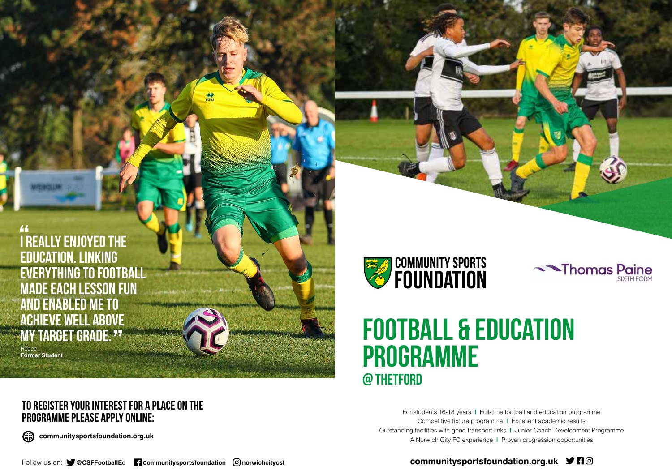### **to register your interest for a place on the programme please apply online:**



**communitysportsfoundation.org.uk**



**is a constant of the set of the above the above the above the above the above the set of the above the above the above the set of the set of the set of the set of the set of the set of the set of the set of the set of the education. Linking everything to football made each lesson fun and enabled me to ACHIEVE WELL ABOVE**<br>MV TARRET RRADE 77 **my target grade.**

# **Football & education programme @ Thetford**

For students 16-18 years **|** Full-time football and education programme Competitive fixture programme **|** Excellent academic results Outstanding facilities with good transport links **|** Junior Coach Development Programme A Norwich City FC experience **|** Proven progression opportunities

### communitysportsfoundation.org.uk **ジ日**回





Reece, **Former Student**